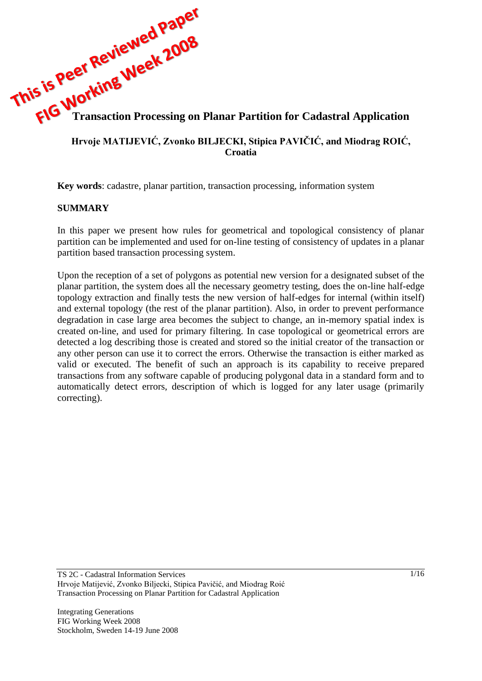# **This is Pee:**<br> **This is Pee:**<br> **Transaction Processing on Planar Partition for Cadastral Application**

#### **Hrvoje MATIJEVIĆ, Zvonko BILJECKI, Stipica PAVIĈIĆ, and Miodrag ROIĆ, Croatia**

**Key words**: cadastre, planar partition, transaction processing, information system

#### **SUMMARY**

In this paper we present how rules for geometrical and topological consistency of planar partition can be implemented and used for on-line testing of consistency of updates in a planar partition based transaction processing system.

Upon the reception of a set of polygons as potential new version for a designated subset of the planar partition, the system does all the necessary geometry testing, does the on-line half-edge topology extraction and finally tests the new version of half-edges for internal (within itself) and external topology (the rest of the planar partition). Also, in order to prevent performance degradation in case large area becomes the subject to change, an in-memory spatial index is created on-line, and used for primary filtering. In case topological or geometrical errors are detected a log describing those is created and stored so the initial creator of the transaction or any other person can use it to correct the errors. Otherwise the transaction is either marked as valid or executed. The benefit of such an approach is its capability to receive prepared transactions from any software capable of producing polygonal data in a standard form and to automatically detect errors, description of which is logged for any later usage (primarily correcting).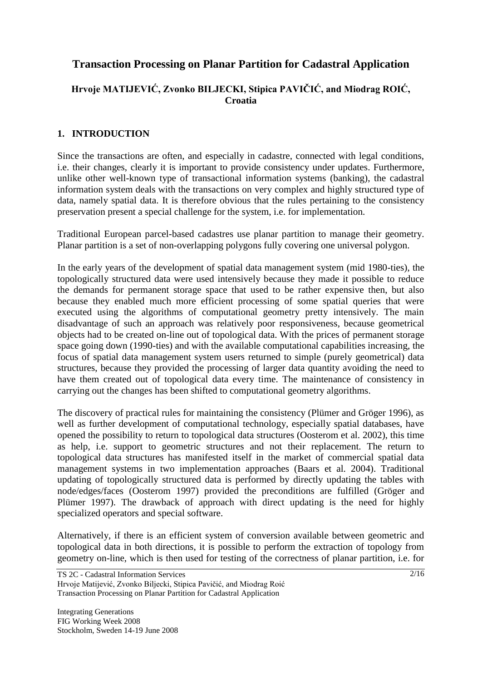# **Transaction Processing on Planar Partition for Cadastral Application**

# **Hrvoje MATIJEVIĆ, Zvonko BILJECKI, Stipica PAVIĈIĆ, and Miodrag ROIĆ, Croatia**

#### **1. INTRODUCTION**

Since the transactions are often, and especially in cadastre, connected with legal conditions, i.e. their changes, clearly it is important to provide consistency under updates. Furthermore, unlike other well-known type of transactional information systems (banking), the cadastral information system deals with the transactions on very complex and highly structured type of data, namely spatial data. It is therefore obvious that the rules pertaining to the consistency preservation present a special challenge for the system, i.e. for implementation.

Traditional European parcel-based cadastres use planar partition to manage their geometry. Planar partition is a set of non-overlapping polygons fully covering one universal polygon.

In the early years of the development of spatial data management system (mid 1980-ties), the topologically structured data were used intensively because they made it possible to reduce the demands for permanent storage space that used to be rather expensive then, but also because they enabled much more efficient processing of some spatial queries that were executed using the algorithms of computational geometry pretty intensively. The main disadvantage of such an approach was relatively poor responsiveness, because geometrical objects had to be created on-line out of topological data. With the prices of permanent storage space going down (1990-ties) and with the available computational capabilities increasing, the focus of spatial data management system users returned to simple (purely geometrical) data structures, because they provided the processing of larger data quantity avoiding the need to have them created out of topological data every time. The maintenance of consistency in carrying out the changes has been shifted to computational geometry algorithms.

The discovery of practical rules for maintaining the consistency (Plümer and Gröger 1996), as well as further development of computational technology, especially spatial databases, have opened the possibility to return to topological data structures (Oosterom et al. 2002), this time as help, i.e. support to geometric structures and not their replacement. The return to topological data structures has manifested itself in the market of commercial spatial data management systems in two implementation approaches (Baars et al. 2004). Traditional updating of topologically structured data is performed by directly updating the tables with node/edges/faces (Oosterom 1997) provided the preconditions are fulfilled (Gröger and Plümer 1997). The drawback of approach with direct updating is the need for highly specialized operators and special software.

Alternatively, if there is an efficient system of conversion available between geometric and topological data in both directions, it is possible to perform the extraction of topology from geometry on-line, which is then used for testing of the correctness of planar partition, i.e. for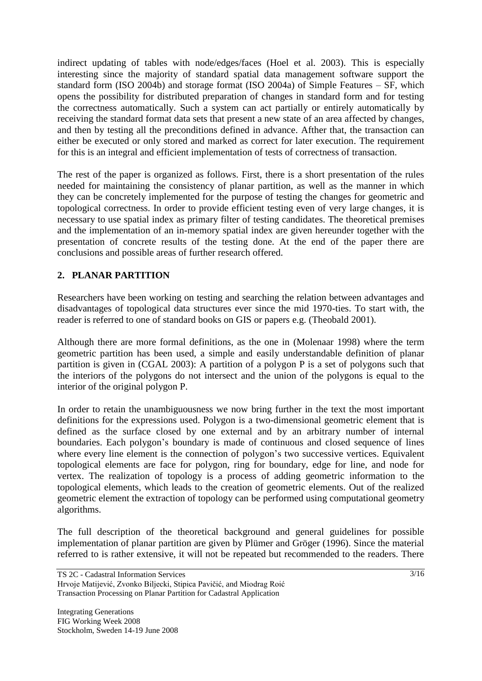indirect updating of tables with node/edges/faces (Hoel et al. 2003). This is especially interesting since the majority of standard spatial data management software support the standard form (ISO 2004b) and storage format (ISO 2004a) of Simple Features – SF, which opens the possibility for distributed preparation of changes in standard form and for testing the correctness automatically. Such a system can act partially or entirely automatically by receiving the standard format data sets that present a new state of an area affected by changes, and then by testing all the preconditions defined in advance. Afther that, the transaction can either be executed or only stored and marked as correct for later execution. The requirement for this is an integral and efficient implementation of tests of correctness of transaction.

The rest of the paper is organized as follows. First, there is a short presentation of the rules needed for maintaining the consistency of planar partition, as well as the manner in which they can be concretely implemented for the purpose of testing the changes for geometric and topological correctness. In order to provide efficient testing even of very large changes, it is necessary to use spatial index as primary filter of testing candidates. The theoretical premises and the implementation of an in-memory spatial index are given hereunder together with the presentation of concrete results of the testing done. At the end of the paper there are conclusions and possible areas of further research offered.

# **2. PLANAR PARTITION**

Researchers have been working on testing and searching the relation between advantages and disadvantages of topological data structures ever since the mid 1970-ties. To start with, the reader is referred to one of standard books on GIS or papers e.g. (Theobald 2001).

Although there are more formal definitions, as the one in (Molenaar 1998) where the term geometric partition has been used, a simple and easily understandable definition of planar partition is given in (CGAL 2003): A partition of a polygon P is a set of polygons such that the interiors of the polygons do not intersect and the union of the polygons is equal to the interior of the original polygon P.

In order to retain the unambiguousness we now bring further in the text the most important definitions for the expressions used. Polygon is a two-dimensional geometric element that is defined as the surface closed by one external and by an arbitrary number of internal boundaries. Each polygon's boundary is made of continuous and closed sequence of lines where every line element is the connection of polygon's two successive vertices. Equivalent topological elements are face for polygon, ring for boundary, edge for line, and node for vertex. The realization of topology is a process of adding geometric information to the topological elements, which leads to the creation of geometric elements. Out of the realized geometric element the extraction of topology can be performed using computational geometry algorithms.

The full description of the theoretical background and general guidelines for possible implementation of planar partition are given by Plümer and Gröger (1996). Since the material referred to is rather extensive, it will not be repeated but recommended to the readers. There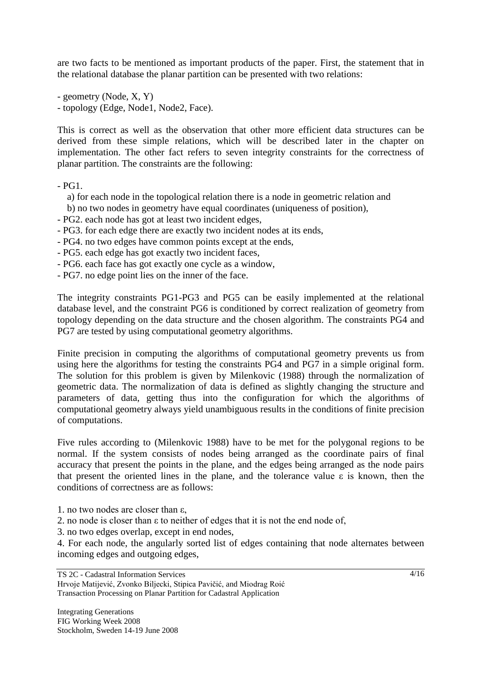are two facts to be mentioned as important products of the paper. First, the statement that in the relational database the planar partition can be presented with two relations:

- geometry (Node, X, Y)

- topology (Edge, Node1, Node2, Face).

This is correct as well as the observation that other more efficient data structures can be derived from these simple relations, which will be described later in the chapter on implementation. The other fact refers to seven integrity constraints for the correctness of planar partition. The constraints are the following:

 $-$  PG1.

- a) for each node in the topological relation there is a node in geometric relation and
- b) no two nodes in geometry have equal coordinates (uniqueness of position),
- PG2. each node has got at least two incident edges,
- PG3. for each edge there are exactly two incident nodes at its ends,
- PG4. no two edges have common points except at the ends,
- PG5. each edge has got exactly two incident faces,
- PG6. each face has got exactly one cycle as a window,
- PG7. no edge point lies on the inner of the face.

The integrity constraints PG1-PG3 and PG5 can be easily implemented at the relational database level, and the constraint PG6 is conditioned by correct realization of geometry from topology depending on the data structure and the chosen algorithm. The constraints PG4 and PG7 are tested by using computational geometry algorithms.

Finite precision in computing the algorithms of computational geometry prevents us from using here the algorithms for testing the constraints PG4 and PG7 in a simple original form. The solution for this problem is given by Milenkovic (1988) through the normalization of geometric data. The normalization of data is defined as slightly changing the structure and parameters of data, getting thus into the configuration for which the algorithms of computational geometry always yield unambiguous results in the conditions of finite precision of computations.

Five rules according to (Milenkovic 1988) have to be met for the polygonal regions to be normal. If the system consists of nodes being arranged as the coordinate pairs of final accuracy that present the points in the plane, and the edges being arranged as the node pairs that present the oriented lines in the plane, and the tolerance value  $\varepsilon$  is known, then the conditions of correctness are as follows:

- 1. no two nodes are closer than ε,
- 2. no node is closer than ε to neither of edges that it is not the end node of,
- 3. no two edges overlap, except in end nodes,

4. For each node, the angularly sorted list of edges containing that node alternates between incoming edges and outgoing edges,

#### TS 2C - Cadastral Information Services Hrvoje Matijević, Zvonko Biljecki, Stipica Pavičić, and Miodrag Roić Transaction Processing on Planar Partition for Cadastral Application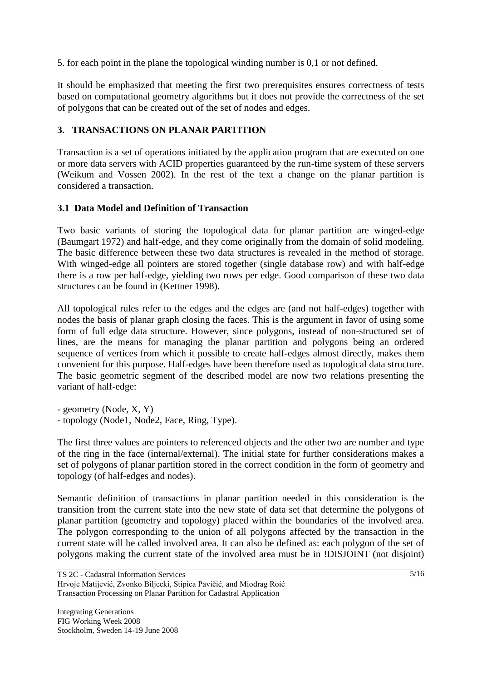5. for each point in the plane the topological winding number is 0,1 or not defined.

It should be emphasized that meeting the first two prerequisites ensures correctness of tests based on computational geometry algorithms but it does not provide the correctness of the set of polygons that can be created out of the set of nodes and edges.

# **3. TRANSACTIONS ON PLANAR PARTITION**

Transaction is a set of operations initiated by the application program that are executed on one or more data servers with ACID properties guaranteed by the run-time system of these servers (Weikum and Vossen 2002). In the rest of the text a change on the planar partition is considered a transaction.

## **3.1 Data Model and Definition of Transaction**

Two basic variants of storing the topological data for planar partition are winged-edge (Baumgart 1972) and half-edge, and they come originally from the domain of solid modeling. The basic difference between these two data structures is revealed in the method of storage. With winged-edge all pointers are stored together (single database row) and with half-edge there is a row per half-edge, yielding two rows per edge. Good comparison of these two data structures can be found in (Kettner 1998).

All topological rules refer to the edges and the edges are (and not half-edges) together with nodes the basis of planar graph closing the faces. This is the argument in favor of using some form of full edge data structure. However, since polygons, instead of non-structured set of lines, are the means for managing the planar partition and polygons being an ordered sequence of vertices from which it possible to create half-edges almost directly, makes them convenient for this purpose. Half-edges have been therefore used as topological data structure. The basic geometric segment of the described model are now two relations presenting the variant of half-edge:

- geometry (Node, X, Y)

- topology (Node1, Node2, Face, Ring, Type).

The first three values are pointers to referenced objects and the other two are number and type of the ring in the face (internal/external). The initial state for further considerations makes a set of polygons of planar partition stored in the correct condition in the form of geometry and topology (of half-edges and nodes).

Semantic definition of transactions in planar partition needed in this consideration is the transition from the current state into the new state of data set that determine the polygons of planar partition (geometry and topology) placed within the boundaries of the involved area. The polygon corresponding to the union of all polygons affected by the transaction in the current state will be called involved area. It can also be defined as: each polygon of the set of polygons making the current state of the involved area must be in !DISJOINT (not disjoint)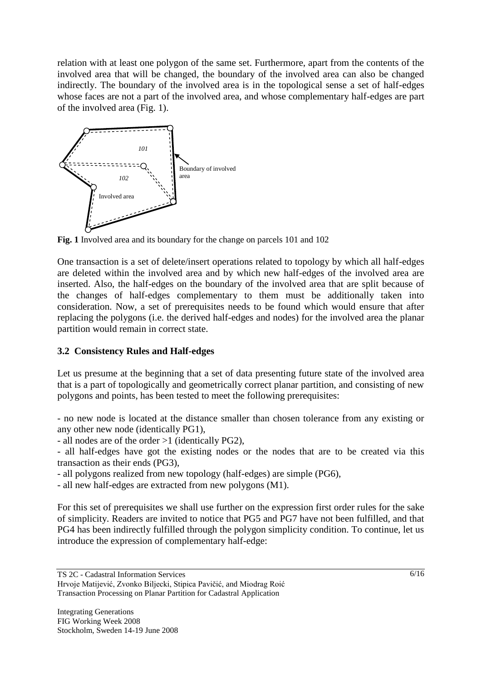relation with at least one polygon of the same set. Furthermore, apart from the contents of the involved area that will be changed, the boundary of the involved area can also be changed indirectly. The boundary of the involved area is in the topological sense a set of half-edges whose faces are not a part of the involved area, and whose complementary half-edges are part of the involved area (Fig. 1).



**Fig. 1** Involved area and its boundary for the change on parcels 101 and 102

One transaction is a set of delete/insert operations related to topology by which all half-edges are deleted within the involved area and by which new half-edges of the involved area are inserted. Also, the half-edges on the boundary of the involved area that are split because of the changes of half-edges complementary to them must be additionally taken into consideration. Now, a set of prerequisites needs to be found which would ensure that after replacing the polygons (i.e. the derived half-edges and nodes) for the involved area the planar partition would remain in correct state.

## **3.2 Consistency Rules and Half-edges**

Let us presume at the beginning that a set of data presenting future state of the involved area that is a part of topologically and geometrically correct planar partition, and consisting of new polygons and points, has been tested to meet the following prerequisites:

- no new node is located at the distance smaller than chosen tolerance from any existing or any other new node (identically PG1),

- all nodes are of the order >1 (identically PG2),

- all half-edges have got the existing nodes or the nodes that are to be created via this transaction as their ends (PG3),

- all polygons realized from new topology (half-edges) are simple (PG6),

- all new half-edges are extracted from new polygons (M1).

For this set of prerequisites we shall use further on the expression first order rules for the sake of simplicity. Readers are invited to notice that PG5 and PG7 have not been fulfilled, and that PG4 has been indirectly fulfilled through the polygon simplicity condition. To continue, let us introduce the expression of complementary half-edge: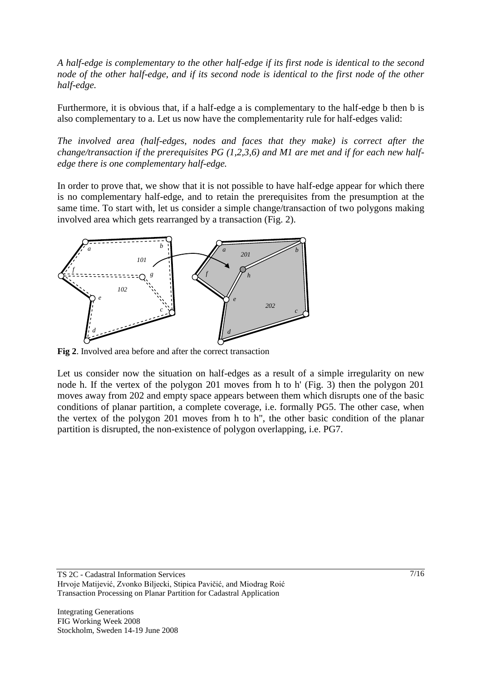*A half-edge is complementary to the other half-edge if its first node is identical to the second node of the other half-edge, and if its second node is identical to the first node of the other half-edge.* 

Furthermore, it is obvious that, if a half-edge a is complementary to the half-edge b then b is also complementary to a. Let us now have the complementarity rule for half-edges valid:

*The involved area (half-edges, nodes and faces that they make) is correct after the change/transaction if the prerequisites PG (1,2,3,6) and M1 are met and if for each new halfedge there is one complementary half-edge.*

In order to prove that, we show that it is not possible to have half-edge appear for which there is no complementary half-edge, and to retain the prerequisites from the presumption at the same time. To start with, let us consider a simple change/transaction of two polygons making involved area which gets rearranged by a transaction (Fig. 2).



**Fig 2**. Involved area before and after the correct transaction

Let us consider now the situation on half-edges as a result of a simple irregularity on new node h. If the vertex of the polygon 201 moves from h to h' (Fig. 3) then the polygon 201 moves away from 202 and empty space appears between them which disrupts one of the basic conditions of planar partition, a complete coverage, i.e. formally PG5. The other case, when the vertex of the polygon 201 moves from h to h", the other basic condition of the planar partition is disrupted, the non-existence of polygon overlapping, i.e. PG7.

TS 2C - Cadastral Information Services Hrvoje Matijević, Zvonko Biljecki, Stipica Pavičić, and Miodrag Roić Transaction Processing on Planar Partition for Cadastral Application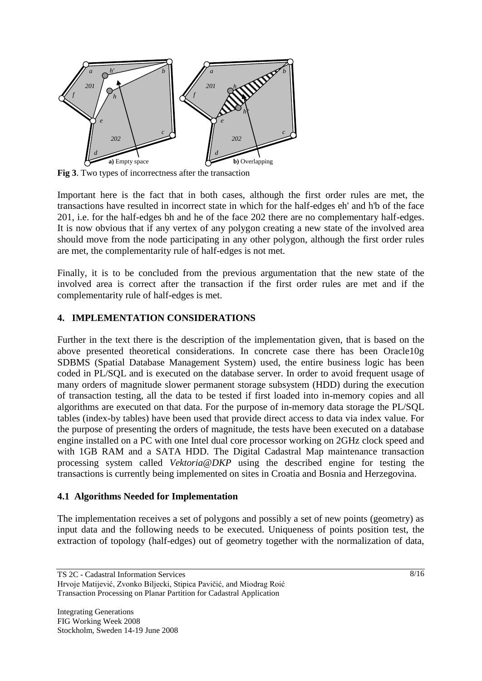

**Fig 3**. Two types of incorrectness after the transaction

Important here is the fact that in both cases, although the first order rules are met, the transactions have resulted in incorrect state in which for the half-edges eh' and h'b of the face 201, i.e. for the half-edges bh and he of the face 202 there are no complementary half-edges. It is now obvious that if any vertex of any polygon creating a new state of the involved area should move from the node participating in any other polygon, although the first order rules are met, the complementarity rule of half-edges is not met.

Finally, it is to be concluded from the previous argumentation that the new state of the involved area is correct after the transaction if the first order rules are met and if the complementarity rule of half-edges is met.

#### **4. IMPLEMENTATION CONSIDERATIONS**

Further in the text there is the description of the implementation given, that is based on the above presented theoretical considerations. In concrete case there has been Oracle10g SDBMS (Spatial Database Management System) used, the entire business logic has been coded in PL/SQL and is executed on the database server. In order to avoid frequent usage of many orders of magnitude slower permanent storage subsystem (HDD) during the execution of transaction testing, all the data to be tested if first loaded into in-memory copies and all algorithms are executed on that data. For the purpose of in-memory data storage the PL/SQL tables (index-by tables) have been used that provide direct access to data via index value. For the purpose of presenting the orders of magnitude, the tests have been executed on a database engine installed on a PC with one Intel dual core processor working on 2GHz clock speed and with 1GB RAM and a SATA HDD. The Digital Cadastral Map maintenance transaction processing system called *Vektoria@DKP* using the described engine for testing the transactions is currently being implemented on sites in Croatia and Bosnia and Herzegovina.

#### **4.1 Algorithms Needed for Implementation**

The implementation receives a set of polygons and possibly a set of new points (geometry) as input data and the following needs to be executed. Uniqueness of points position test, the extraction of topology (half-edges) out of geometry together with the normalization of data,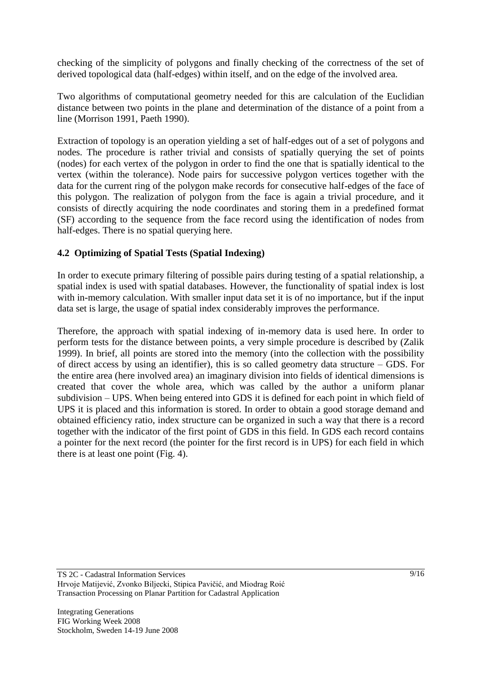checking of the simplicity of polygons and finally checking of the correctness of the set of derived topological data (half-edges) within itself, and on the edge of the involved area.

Two algorithms of computational geometry needed for this are calculation of the Euclidian distance between two points in the plane and determination of the distance of a point from a line (Morrison 1991, Paeth 1990).

Extraction of topology is an operation yielding a set of half-edges out of a set of polygons and nodes. The procedure is rather trivial and consists of spatially querying the set of points (nodes) for each vertex of the polygon in order to find the one that is spatially identical to the vertex (within the tolerance). Node pairs for successive polygon vertices together with the data for the current ring of the polygon make records for consecutive half-edges of the face of this polygon. The realization of polygon from the face is again a trivial procedure, and it consists of directly acquiring the node coordinates and storing them in a predefined format (SF) according to the sequence from the face record using the identification of nodes from half-edges. There is no spatial querying here.

#### **4.2 Optimizing of Spatial Tests (Spatial Indexing)**

In order to execute primary filtering of possible pairs during testing of a spatial relationship, a spatial index is used with spatial databases. However, the functionality of spatial index is lost with in-memory calculation. With smaller input data set it is of no importance, but if the input data set is large, the usage of spatial index considerably improves the performance.

Therefore, the approach with spatial indexing of in-memory data is used here. In order to perform tests for the distance between points, a very simple procedure is described by (Zalik 1999). In brief, all points are stored into the memory (into the collection with the possibility of direct access by using an identifier), this is so called geometry data structure – GDS. For the entire area (here involved area) an imaginary division into fields of identical dimensions is created that cover the whole area, which was called by the author a uniform planar subdivision – UPS. When being entered into GDS it is defined for each point in which field of UPS it is placed and this information is stored. In order to obtain a good storage demand and obtained efficiency ratio, index structure can be organized in such a way that there is a record together with the indicator of the first point of GDS in this field. In GDS each record contains a pointer for the next record (the pointer for the first record is in UPS) for each field in which there is at least one point (Fig. 4).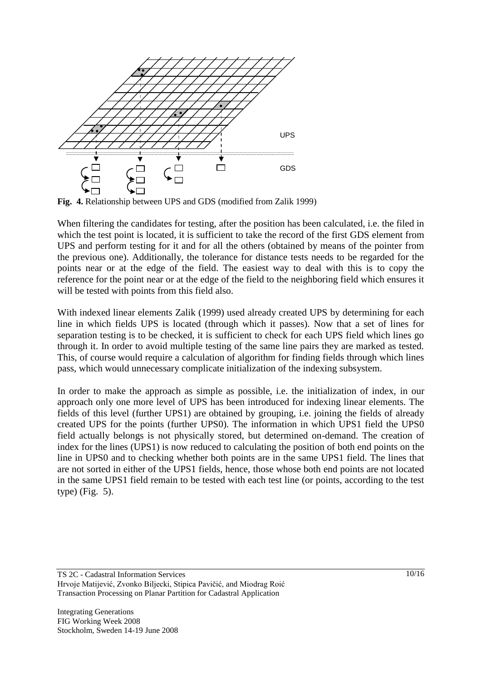

**Fig. 4.** Relationship between UPS and GDS (modified from Zalik 1999)

When filtering the candidates for testing, after the position has been calculated, i.e. the filed in which the test point is located, it is sufficient to take the record of the first GDS element from UPS and perform testing for it and for all the others (obtained by means of the pointer from the previous one). Additionally, the tolerance for distance tests needs to be regarded for the points near or at the edge of the field. The easiest way to deal with this is to copy the reference for the point near or at the edge of the field to the neighboring field which ensures it will be tested with points from this field also.

With indexed linear elements Zalik (1999) used already created UPS by determining for each line in which fields UPS is located (through which it passes). Now that a set of lines for separation testing is to be checked, it is sufficient to check for each UPS field which lines go through it. In order to avoid multiple testing of the same line pairs they are marked as tested. This, of course would require a calculation of algorithm for finding fields through which lines pass, which would unnecessary complicate initialization of the indexing subsystem.

In order to make the approach as simple as possible, i.e. the initialization of index, in our approach only one more level of UPS has been introduced for indexing linear elements. The fields of this level (further UPS1) are obtained by grouping, i.e. joining the fields of already created UPS for the points (further UPS0). The information in which UPS1 field the UPS0 field actually belongs is not physically stored, but determined on-demand. The creation of index for the lines (UPS1) is now reduced to calculating the position of both end points on the line in UPS0 and to checking whether both points are in the same UPS1 field. The lines that are not sorted in either of the UPS1 fields, hence, those whose both end points are not located in the same UPS1 field remain to be tested with each test line (or points, according to the test type) (Fig. 5).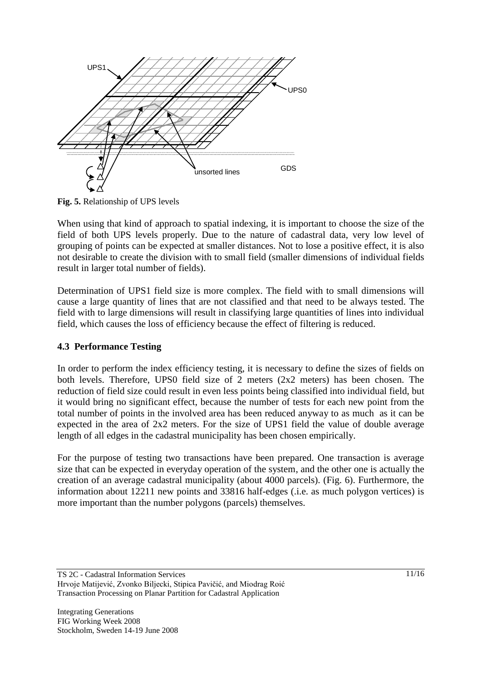

**Fig. 5.** Relationship of UPS levels

When using that kind of approach to spatial indexing, it is important to choose the size of the field of both UPS levels properly. Due to the nature of cadastral data, very low level of grouping of points can be expected at smaller distances. Not to lose a positive effect, it is also not desirable to create the division with to small field (smaller dimensions of individual fields result in larger total number of fields).

Determination of UPS1 field size is more complex. The field with to small dimensions will cause a large quantity of lines that are not classified and that need to be always tested. The field with to large dimensions will result in classifying large quantities of lines into individual field, which causes the loss of efficiency because the effect of filtering is reduced.

## **4.3 Performance Testing**

In order to perform the index efficiency testing, it is necessary to define the sizes of fields on both levels. Therefore, UPS0 field size of 2 meters (2x2 meters) has been chosen. The reduction of field size could result in even less points being classified into individual field, but it would bring no significant effect, because the number of tests for each new point from the total number of points in the involved area has been reduced anyway to as much as it can be expected in the area of 2x2 meters. For the size of UPS1 field the value of double average length of all edges in the cadastral municipality has been chosen empirically.

For the purpose of testing two transactions have been prepared. One transaction is average size that can be expected in everyday operation of the system, and the other one is actually the creation of an average cadastral municipality (about 4000 parcels). (Fig. 6). Furthermore, the information about 12211 new points and 33816 half-edges (.i.e. as much polygon vertices) is more important than the number polygons (parcels) themselves.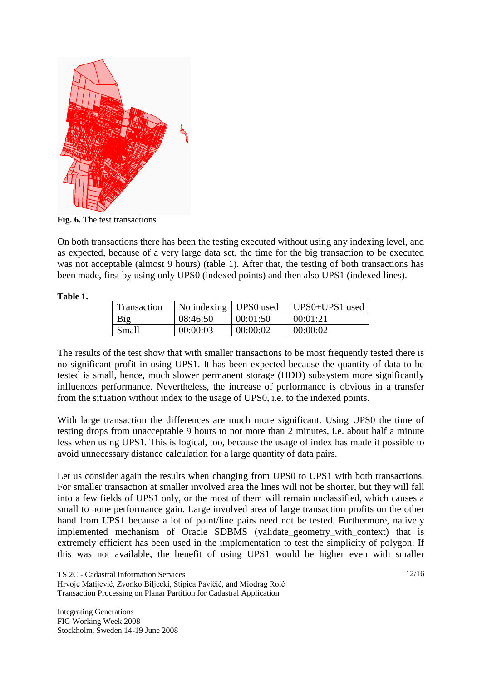

**Fig. 6.** The test transactions

On both transactions there has been the testing executed without using any indexing level, and as expected, because of a very large data set, the time for the big transaction to be executed was not acceptable (almost 9 hours) (table 1). After that, the testing of both transactions has been made, first by using only UPS0 (indexed points) and then also UPS1 (indexed lines).

#### **Table 1.**

| <b>Transaction</b> | No indexing   UPS0 used |          | $UPS0+UPS1$ used |
|--------------------|-------------------------|----------|------------------|
| Big                | 08:46:50                | 00:01:50 | 00:01:21         |
| Small              | 00:00:03                | 00:00:02 | 00:00:02         |

The results of the test show that with smaller transactions to be most frequently tested there is no significant profit in using UPS1. It has been expected because the quantity of data to be tested is small, hence, much slower permanent storage (HDD) subsystem more significantly influences performance. Nevertheless, the increase of performance is obvious in a transfer from the situation without index to the usage of UPS0, i.e. to the indexed points.

With large transaction the differences are much more significant. Using UPS0 the time of testing drops from unacceptable 9 hours to not more than 2 minutes, i.e. about half a minute less when using UPS1. This is logical, too, because the usage of index has made it possible to avoid unnecessary distance calculation for a large quantity of data pairs.

Let us consider again the results when changing from UPS0 to UPS1 with both transactions. For smaller transaction at smaller involved area the lines will not be shorter, but they will fall into a few fields of UPS1 only, or the most of them will remain unclassified, which causes a small to none performance gain. Large involved area of large transaction profits on the other hand from UPS1 because a lot of point/line pairs need not be tested. Furthermore, natively implemented mechanism of Oracle SDBMS (validate\_geometry\_with\_context) that is extremely efficient has been used in the implementation to test the simplicity of polygon. If this was not available, the benefit of using UPS1 would be higher even with smaller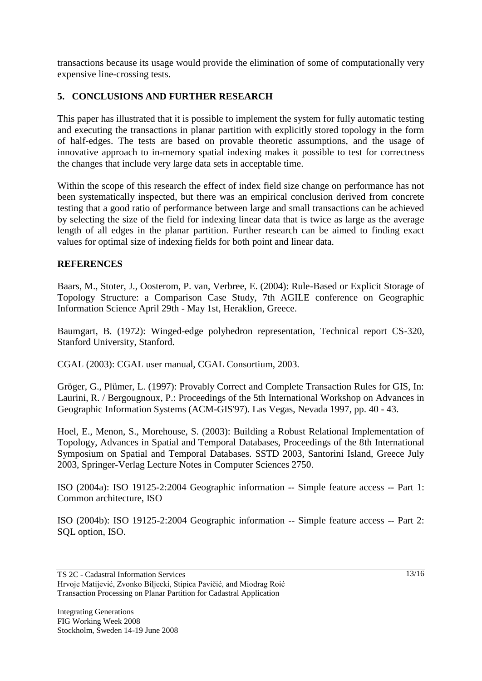transactions because its usage would provide the elimination of some of computationally very expensive line-crossing tests.

# **5. CONCLUSIONS AND FURTHER RESEARCH**

This paper has illustrated that it is possible to implement the system for fully automatic testing and executing the transactions in planar partition with explicitly stored topology in the form of half-edges. The tests are based on provable theoretic assumptions, and the usage of innovative approach to in-memory spatial indexing makes it possible to test for correctness the changes that include very large data sets in acceptable time.

Within the scope of this research the effect of index field size change on performance has not been systematically inspected, but there was an empirical conclusion derived from concrete testing that a good ratio of performance between large and small transactions can be achieved by selecting the size of the field for indexing linear data that is twice as large as the average length of all edges in the planar partition. Further research can be aimed to finding exact values for optimal size of indexing fields for both point and linear data.

#### **REFERENCES**

Baars, M., Stoter, J., Oosterom, P. van, Verbree, E. (2004): Rule-Based or Explicit Storage of Topology Structure: a Comparison Case Study, 7th AGILE conference on Geographic Information Science April 29th - May 1st, Heraklion, Greece.

Baumgart, B. (1972): Winged-edge polyhedron representation, Technical report CS-320, Stanford University, Stanford.

CGAL (2003): CGAL user manual, CGAL Consortium, 2003.

Gröger, G., Plümer, L. (1997): Provably Correct and Complete Transaction Rules for GIS, In: Laurini, R. / Bergougnoux, P.: Proceedings of the 5th International Workshop on Advances in Geographic Information Systems (ACM-GIS'97). Las Vegas, Nevada 1997, pp. 40 - 43.

Hoel, E., Menon, S., Morehouse, S. (2003): Building a Robust Relational Implementation of Topology, Advances in Spatial and Temporal Databases, Proceedings of the 8th International Symposium on Spatial and Temporal Databases. SSTD 2003, Santorini Island, Greece July 2003, Springer-Verlag Lecture Notes in Computer Sciences 2750.

ISO (2004a): ISO 19125-2:2004 Geographic information -- Simple feature access -- Part 1: Common architecture, ISO

ISO (2004b): ISO 19125-2:2004 Geographic information -- Simple feature access -- Part 2: SQL option, ISO.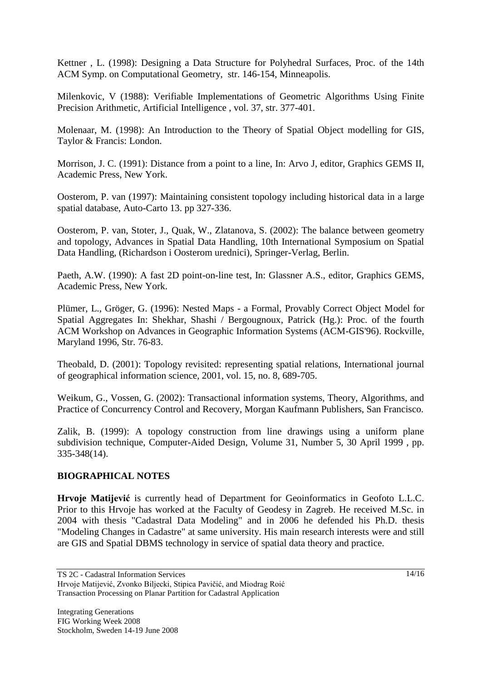Kettner , L. (1998): Designing a Data Structure for Polyhedral Surfaces, Proc. of the 14th ACM Symp. on Computational Geometry, str. 146-154, Minneapolis.

Milenkovic, V (1988): Verifiable Implementations of Geometric Algorithms Using Finite Precision Arithmetic, Artificial Intelligence , vol. 37, str. 377-401.

Molenaar, M. (1998): An Introduction to the Theory of Spatial Object modelling for GIS, Taylor & Francis: London.

Morrison, J. C. (1991): Distance from a point to a line, In: Arvo J, editor, Graphics GEMS II, Academic Press, New York.

Oosterom, P. van (1997): Maintaining consistent topology including historical data in a large spatial database, Auto-Carto 13. pp 327-336.

Oosterom, P. van, Stoter, J., Quak, W., Zlatanova, S. (2002): The balance between geometry and topology, Advances in Spatial Data Handling, 10th International Symposium on Spatial Data Handling, (Richardson i Oosterom urednici), Springer-Verlag, Berlin.

Paeth, A.W. (1990): A fast 2D point-on-line test, In: Glassner A.S., editor, Graphics GEMS, Academic Press, New York.

Plümer, L., Gröger, G. (1996): Nested Maps - a Formal, Provably Correct Object Model for Spatial Aggregates In: Shekhar, Shashi / Bergougnoux, Patrick (Hg.): Proc. of the fourth ACM Workshop on Advances in Geographic Information Systems (ACM-GIS'96). Rockville, Maryland 1996, Str. 76-83.

Theobald, D. (2001): Topology revisited: representing spatial relations, International journal of geographical information science, 2001, vol. 15, no. 8, 689-705.

Weikum, G., Vossen, G. (2002): Transactional information systems, Theory, Algorithms, and Practice of Concurrency Control and Recovery, Morgan Kaufmann Publishers, San Francisco.

Zalik, B. (1999): A topology construction from line drawings using a uniform plane subdivision technique, Computer-Aided Design, Volume 31, Number 5, 30 April 1999 , pp. 335-348(14).

#### **BIOGRAPHICAL NOTES**

**Hrvoje Matijević** is currently head of Department for Geoinformatics in Geofoto L.L.C. Prior to this Hrvoje has worked at the Faculty of Geodesy in Zagreb. He received M.Sc. in 2004 with thesis "Cadastral Data Modeling" and in 2006 he defended his Ph.D. thesis "Modeling Changes in Cadastre" at same university. His main research interests were and still are GIS and Spatial DBMS technology in service of spatial data theory and practice.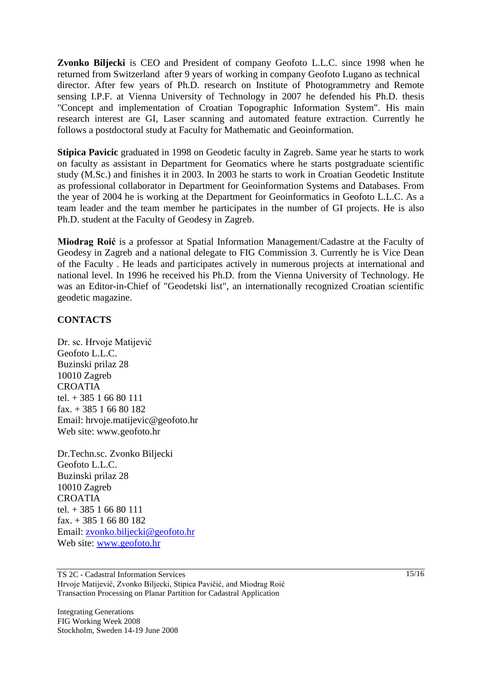**Zvonko Biljecki** is CEO and President of company Geofoto L.L.C. since 1998 when he returned from Switzerland after 9 years of working in company Geofoto Lugano as technical director. After few years of Ph.D. research on Institute of Photogrammetry and Remote sensing I.P.F. at Vienna University of Technology in 2007 he defended his Ph.D. thesis "Concept and implementation of Croatian Topographic Information System". His main research interest are GI, Laser scanning and automated feature extraction. Currently he follows a postdoctoral study at Faculty for Mathematic and Geoinformation.

**Stipica Pavicic** graduated in 1998 on Geodetic faculty in Zagreb. Same year he starts to work on faculty as assistant in Department for Geomatics where he starts postgraduate scientific study (M.Sc.) and finishes it in 2003. In 2003 he starts to work in Croatian Geodetic Institute as professional collaborator in Department for Geoinformation Systems and Databases. From the year of 2004 he is working at the Department for Geoinformatics in Geofoto L.L.C. As a team leader and the team member he participates in the number of GI projects. He is also Ph.D. student at the Faculty of Geodesy in Zagreb.

**Miodrag Roić** is a professor at Spatial Information Management/Cadastre at the Faculty of Geodesy in Zagreb and a national delegate to FIG Commission 3. Currently he is Vice Dean of the Faculty . He leads and participates actively in numerous projects at international and national level. In 1996 he received his Ph.D. from the Vienna University of Technology. He was an Editor-in-Chief of "Geodetski list", an internationally recognized Croatian scientific geodetic magazine.

#### **CONTACTS**

Dr. sc. Hrvoje Matijević Geofoto L.L.C. Buzinski prilaz 28 10010 Zagreb **CROATIA** tel. + 385 1 66 80 111 fax. + 385 1 66 80 182 Email: hrvoje.matijevic@geofoto.hr Web site: www.geofoto.hr

Dr.Techn.sc. Zvonko Biljecki Geofoto L.L.C. Buzinski prilaz 28 10010 Zagreb CROATIA tel. + 385 1 66 80 111 fax. + 385 1 66 80 182 Email: [zvonko.biljecki@geofoto.hr](mailto:zvonko.biljecki@geofoto.hr) Web site: [www.geofoto.hr](http://www.geofoto.hr/)

TS 2C - Cadastral Information Services Hrvoje Matijević, Zvonko Biljecki, Stipica Pavičić, and Miodrag Roić Transaction Processing on Planar Partition for Cadastral Application

Integrating Generations FIG Working Week 2008 Stockholm, Sweden 14-19 June 2008